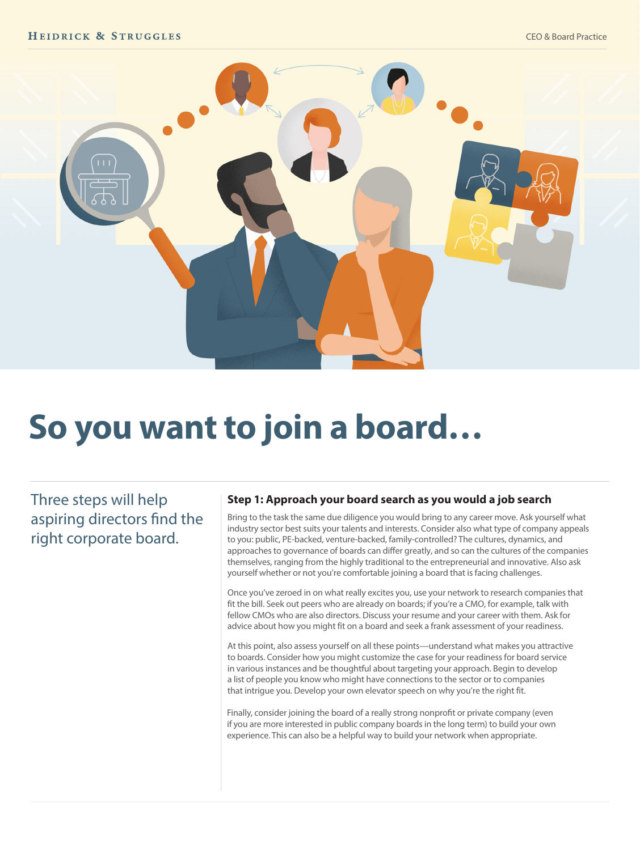

# **So you want to join a board…**

Three steps will help aspiring directors find the right corporate board.

#### **Step 1: Approach your board search as you would a job search**

Bring to the task the same due diligence you would bring to any career move. Ask yourself what industry sector best suits your talents and interests. Consider also what type of company appeals to you: public, PE-backed, venture-backed, family-controlled? The cultures, dynamics, and approaches to governance of boards can differ greatly, and so can the cultures of the companies themselves, ranging from the highly traditional to the entrepreneurial and innovative. Also ask yourself whether or not you're comfortable joining a board that is facing challenges.

Once you've zeroed in on what really excites you, use your network to research companies that fit the bill. Seek out peers who are already on boards; if you're a CMO, for example, talk with fellow CMOs who are also directors. Discuss your resume and your career with them. Ask for advice about how you might fit on a board and seek a frank assessment of your readiness.

At this point, also assess yourself on all these points—understand what makes you attractive to boards. Consider how you might customize the case for your readiness for board service in various instances and be thoughtful about targeting your approach. Begin to develop a list of people you know who might have connections to the sector or to companies that intrigue you. Develop your own elevator speech on why you're the right fit.

Finally, consider joining the board of a really strong nonprofit or private company (even if you are more interested in public company boards in the long term) to build your own experience. This can also be a helpful way to build your network when appropriate.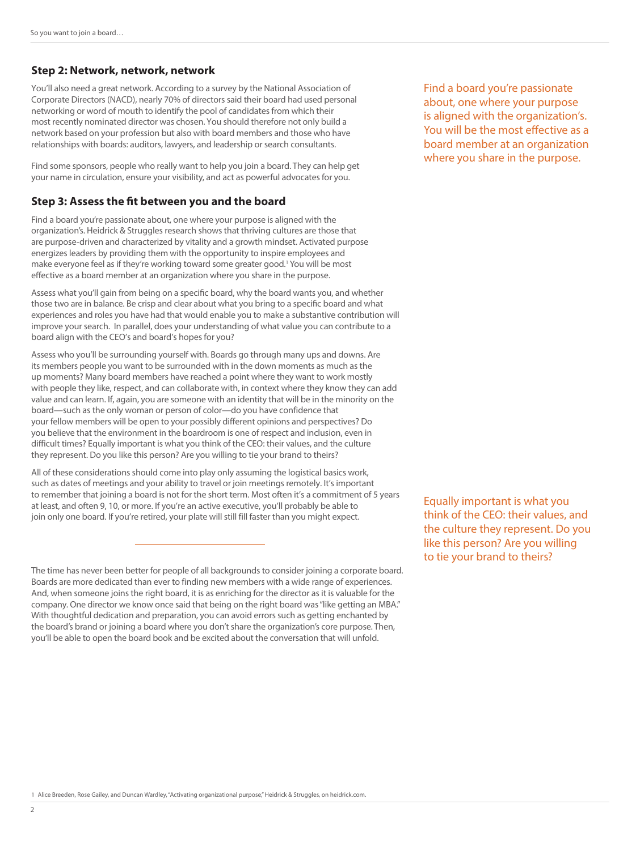#### **Step 2: Network, network, network**

You'll also need a great network. According to a survey by the National Association of Corporate Directors (NACD), nearly 70% of directors said their board had used personal networking or word of mouth to identify the pool of candidates from which their most recently nominated director was chosen. You should therefore not only build a network based on your profession but also with board members and those who have relationships with boards: auditors, lawyers, and leadership or search consultants.

Find some sponsors, people who really want to help you join a board. They can help get your name in circulation, ensure your visibility, and act as powerful advocates for you.

#### **Step 3: Assess the fit between you and the board**

Find a board you're passionate about, one where your purpose is aligned with the organization's. Heidrick & Struggles research shows that thriving cultures are those that are purpose-driven and characterized by vitality and a growth mindset. Activated purpose energizes leaders by providing them with the opportunity to inspire employees and make everyone feel as if they're working toward some greater good.<sup>1</sup> You will be most effective as a board member at an organization where you share in the purpose.

Assess what you'll gain from being on a specific board, why the board wants you, and whether those two are in balance. Be crisp and clear about what you bring to a specific board and what experiences and roles you have had that would enable you to make a substantive contribution will improve your search. In parallel, does your understanding of what value you can contribute to a board align with the CEO's and board's hopes for you?

Assess who you'll be surrounding yourself with. Boards go through many ups and downs. Are its members people you want to be surrounded with in the down moments as much as the up moments? Many board members have reached a point where they want to work mostly with people they like, respect, and can collaborate with, in context where they know they can add value and can learn. If, again, you are someone with an identity that will be in the minority on the board—such as the only woman or person of color—do you have confidence that your fellow members will be open to your possibly different opinions and perspectives? Do you believe that the environment in the boardroom is one of respect and inclusion, even in difficult times? Equally important is what you think of the CEO: their values, and the culture they represent. Do you like this person? Are you willing to tie your brand to theirs?

All of these considerations should come into play only assuming the logistical basics work, such as dates of meetings and your ability to travel or join meetings remotely. It's important to remember that joining a board is not for the short term. Most often it's a commitment of 5 years at least, and often 9, 10, or more. If you're an active executive, you'll probably be able to join only one board. If you're retired, your plate will still fill faster than you might expect.

The time has never been better for people of all backgrounds to consider joining a corporate board. Boards are more dedicated than ever to finding new members with a wide range of experiences. And, when someone joins the right board, it is as enriching for the director as it is valuable for the company. One director we know once said that being on the right board was "like getting an MBA." With thoughtful dedication and preparation, you can avoid errors such as getting enchanted by the board's brand or joining a board where you don't share the organization's core purpose. Then, you'll be able to open the board book and be excited about the conversation that will unfold.

Find a board you're passionate about, one where your purpose is aligned with the organization's. You will be the most effective as a board member at an organization where you share in the purpose.

Equally important is what you think of the CEO: their values, and the culture they represent. Do you like this person? Are you willing to tie your brand to theirs?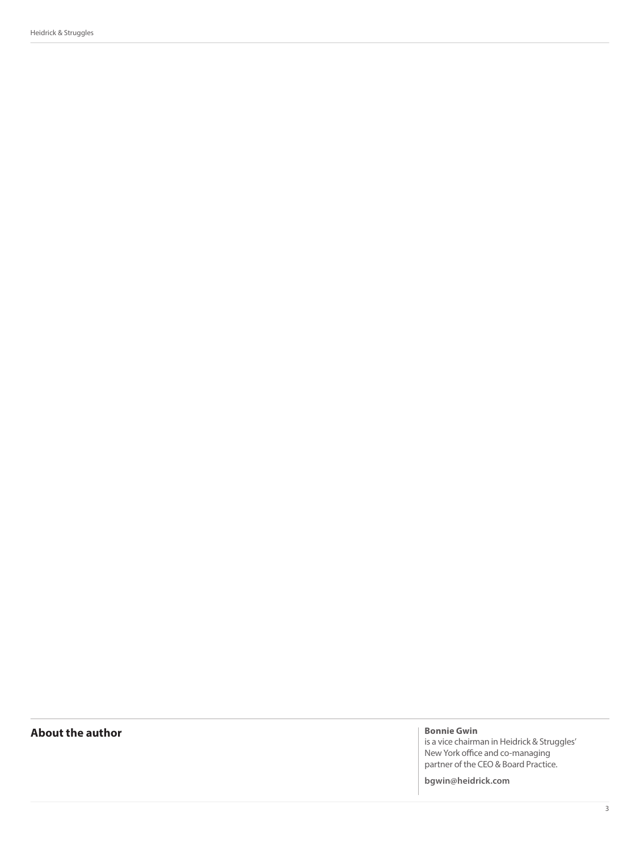Heidrick & Struggles

### **About the author Bonnie Gwin Bonnie Gwin**

is a vice chairman in Heidrick & Struggles' New York office and co-managing partner of the CEO & Board Practice.

**bgwin@heidrick.com**